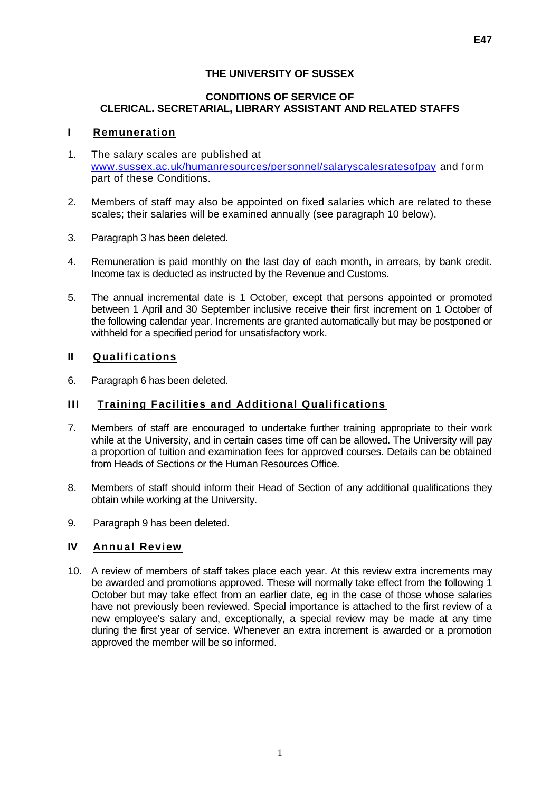#### **CONDITIONS OF SERVICE OF CLERICAL. SECRETARIAL, LIBRARY ASSISTANT AND RELATED STAFFS**

#### **I Remuneration**

- 1. The salary scales are published at [www.sussex.ac.uk/humanresources/personnel/salaryscalesratesofpay](http://www.sussex.ac.uk/humanresources/personnel/salaryscalesratesofpay) and form part of these Conditions.
- 2. Members of staff may also be appointed on fixed salaries which are related to these scales; their salaries will be examined annually (see paragraph 10 below).
- 3. Paragraph 3 has been deleted.
- 4. Remuneration is paid monthly on the last day of each month, in arrears, by bank credit. Income tax is deducted as instructed by the Revenue and Customs.
- 5. The annual incremental date is 1 October, except that persons appointed or promoted between 1 April and 30 September inclusive receive their first increment on 1 October of the following calendar year. Increments are granted automatically but may be postponed or withheld for a specified period for unsatisfactory work.

#### **II Qualifications**

6. Paragraph 6 has been deleted.

#### **III Training Facilities and Additional Qualifications**

- 7. Members of staff are encouraged to undertake further training appropriate to their work while at the University, and in certain cases time off can be allowed. The University will pay a proportion of tuition and examination fees for approved courses. Details can be obtained from Heads of Sections or the Human Resources Office.
- 8. Members of staff should inform their Head of Section of any additional qualifications they obtain while working at the University.
- 9. Paragraph 9 has been deleted.

#### **IV Annual Review**

10. A review of members of staff takes place each year. At this review extra increments may be awarded and promotions approved. These will normally take effect from the following 1 October but may take effect from an earlier date, eg in the case of those whose salaries have not previously been reviewed. Special importance is attached to the first review of a new employee's salary and, exceptionally, a special review may be made at any time during the first year of service. Whenever an extra increment is awarded or a promotion approved the member will be so informed.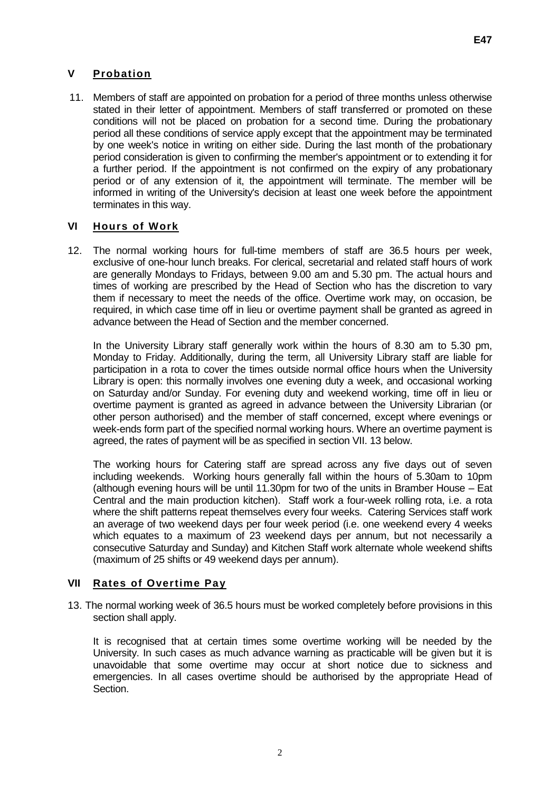# **V Probation**

11. Members of staff are appointed on probation for a period of three months unless otherwise stated in their letter of appointment. Members of staff transferred or promoted on these conditions will not be placed on probation for a second time. During the probationary period all these conditions of service apply except that the appointment may be terminated by one week's notice in writing on either side. During the last month of the probationary period consideration is given to confirming the member's appointment or to extending it for a further period. If the appointment is not confirmed on the expiry of any probationary period or of any extension of it, the appointment will terminate. The member will be informed in writing of the University's decision at least one week before the appointment terminates in this way.

# **VI Hours of Work**

12. The normal working hours for full-time members of staff are 36.5 hours per week, exclusive of one-hour lunch breaks. For clerical, secretarial and related staff hours of work are generally Mondays to Fridays, between 9.00 am and 5.30 pm. The actual hours and times of working are prescribed by the Head of Section who has the discretion to vary them if necessary to meet the needs of the office. Overtime work may, on occasion, be required, in which case time off in lieu or overtime payment shall be granted as agreed in advance between the Head of Section and the member concerned.

In the University Library staff generally work within the hours of 8.30 am to 5.30 pm, Monday to Friday. Additionally, during the term, all University Library staff are liable for participation in a rota to cover the times outside normal office hours when the University Library is open: this normally involves one evening duty a week, and occasional working on Saturday and/or Sunday. For evening duty and weekend working, time off in lieu or overtime payment is granted as agreed in advance between the University Librarian (or other person authorised) and the member of staff concerned, except where evenings or week-ends form part of the specified normal working hours. Where an overtime payment is agreed, the rates of payment will be as specified in section VII. 13 below.

The working hours for Catering staff are spread across any five days out of seven including weekends. Working hours generally fall within the hours of 5.30am to 10pm (although evening hours will be until 11.30pm for two of the units in Bramber House – Eat Central and the main production kitchen). Staff work a four-week rolling rota, i.e. a rota where the shift patterns repeat themselves every four weeks. Catering Services staff work an average of two weekend days per four week period (i.e. one weekend every 4 weeks which equates to a maximum of 23 weekend days per annum, but not necessarily a consecutive Saturday and Sunday) and Kitchen Staff work alternate whole weekend shifts (maximum of 25 shifts or 49 weekend days per annum).

# **VII Rates of Overtime Pay**

13. The normal working week of 36.5 hours must be worked completely before provisions in this section shall apply.

It is recognised that at certain times some overtime working will be needed by the University. In such cases as much advance warning as practicable will be given but it is unavoidable that some overtime may occur at short notice due to sickness and emergencies. In all cases overtime should be authorised by the appropriate Head of Section.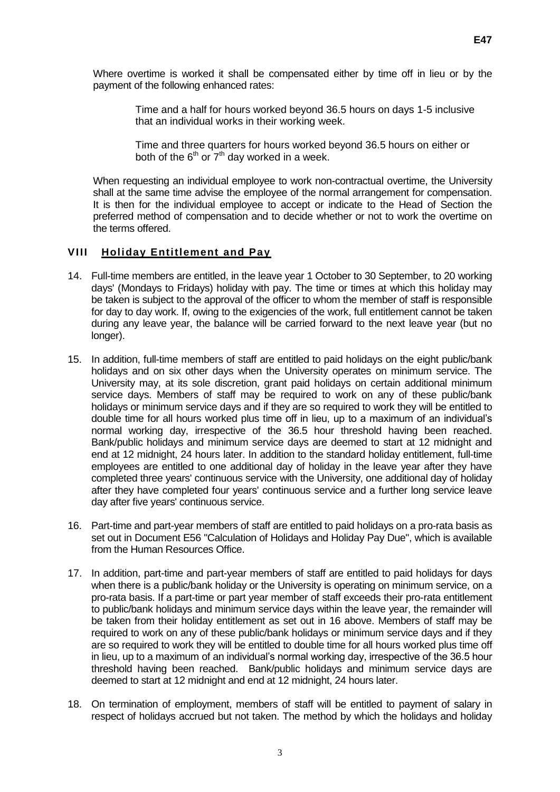Where overtime is worked it shall be compensated either by time off in lieu or by the payment of the following enhanced rates:

> Time and a half for hours worked beyond 36.5 hours on days 1-5 inclusive that an individual works in their working week.

Time and three quarters for hours worked beyond 36.5 hours on either or both of the  $6<sup>th</sup>$  or  $7<sup>th</sup>$  day worked in a week.

When requesting an individual employee to work non-contractual overtime, the University shall at the same time advise the employee of the normal arrangement for compensation. It is then for the individual employee to accept or indicate to the Head of Section the preferred method of compensation and to decide whether or not to work the overtime on the terms offered.

### **VIII Holiday Entitlement and Pay**

- 14. Full-time members are entitled, in the leave year 1 October to 30 September, to 20 working days' (Mondays to Fridays) holiday with pay. The time or times at which this holiday may be taken is subject to the approval of the officer to whom the member of staff is responsible for day to day work. If, owing to the exigencies of the work, full entitlement cannot be taken during any leave year, the balance will be carried forward to the next leave year (but no longer).
- 15. In addition, full-time members of staff are entitled to paid holidays on the eight public/bank holidays and on six other days when the University operates on minimum service. The University may, at its sole discretion, grant paid holidays on certain additional minimum service days. Members of staff may be required to work on any of these public/bank holidays or minimum service days and if they are so required to work they will be entitled to double time for all hours worked plus time off in lieu, up to a maximum of an individual's normal working day, irrespective of the 36.5 hour threshold having been reached. Bank/public holidays and minimum service days are deemed to start at 12 midnight and end at 12 midnight, 24 hours later. In addition to the standard holiday entitlement, full-time employees are entitled to one additional day of holiday in the leave year after they have completed three years' continuous service with the University, one additional day of holiday after they have completed four years' continuous service and a further long service leave day after five years' continuous service.
- 16. Part-time and part-year members of staff are entitled to paid holidays on a pro-rata basis as set out in Document E56 "Calculation of Holidays and Holiday Pay Due", which is available from the Human Resources Office.
- 17. In addition, part-time and part-year members of staff are entitled to paid holidays for days when there is a public/bank holiday or the University is operating on minimum service, on a pro-rata basis. If a part-time or part year member of staff exceeds their pro-rata entitlement to public/bank holidays and minimum service days within the leave year, the remainder will be taken from their holiday entitlement as set out in 16 above. Members of staff may be required to work on any of these public/bank holidays or minimum service days and if they are so required to work they will be entitled to double time for all hours worked plus time off in lieu, up to a maximum of an individual's normal working day, irrespective of the 36.5 hour threshold having been reached. Bank/public holidays and minimum service days are deemed to start at 12 midnight and end at 12 midnight, 24 hours later.
- 18. On termination of employment, members of staff will be entitled to payment of salary in respect of holidays accrued but not taken. The method by which the holidays and holiday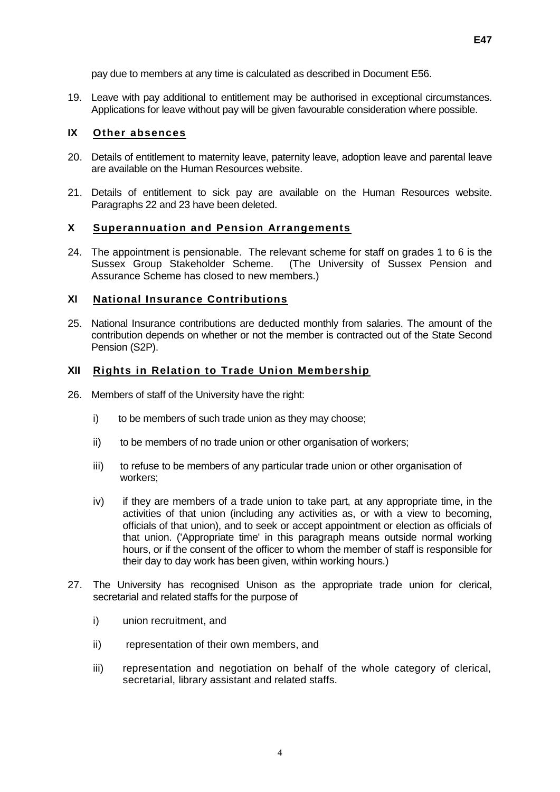pay due to members at any time is calculated as described in Document E56.

19. Leave with pay additional to entitlement may be authorised in exceptional circumstances. Applications for leave without pay will be given favourable consideration where possible.

#### **IX Other absences**

- 20. Details of entitlement to maternity leave, paternity leave, adoption leave and parental leave are available on the Human Resources website.
- 21. Details of entitlement to sick pay are available on the Human Resources website. Paragraphs 22 and 23 have been deleted.

## **X Superannuation and Pension Arrangements**

24. The appointment is pensionable. The relevant scheme for staff on grades 1 to 6 is the Sussex Group Stakeholder Scheme. (The University of Sussex Pension and Assurance Scheme has closed to new members.)

#### **XI National Insurance Contributions**

25. National Insurance contributions are deducted monthly from salaries. The amount of the contribution depends on whether or not the member is contracted out of the State Second Pension (S2P).

#### **XII Rights in Relation to Trade Union Membership**

- 26. Members of staff of the University have the right:
	- i) to be members of such trade union as they may choose;
	- ii) to be members of no trade union or other organisation of workers;
	- iii) to refuse to be members of any particular trade union or other organisation of workers;
	- iv) if they are members of a trade union to take part, at any appropriate time, in the activities of that union (including any activities as, or with a view to becoming, officials of that union), and to seek or accept appointment or election as officials of that union. ('Appropriate time' in this paragraph means outside normal working hours, or if the consent of the officer to whom the member of staff is responsible for their day to day work has been given, within working hours.)
- 27. The University has recognised Unison as the appropriate trade union for clerical, secretarial and related staffs for the purpose of
	- i) union recruitment, and
	- ii) representation of their own members, and
	- iii) representation and negotiation on behalf of the whole category of clerical, secretarial, library assistant and related staffs.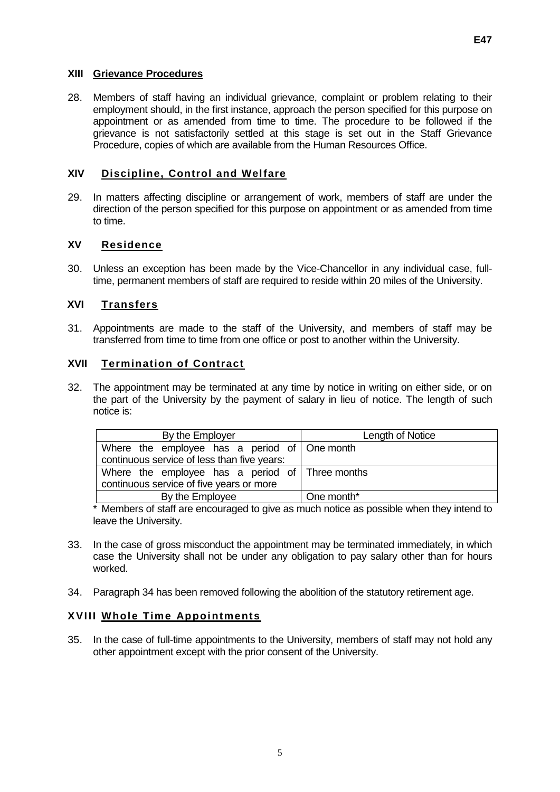### **XIII Grievance Procedures**

28. Members of staff having an individual grievance, complaint or problem relating to their employment should, in the first instance, approach the person specified for this purpose on appointment or as amended from time to time. The procedure to be followed if the grievance is not satisfactorily settled at this stage is set out in the Staff Grievance Procedure, copies of which are available from the Human Resources Office.

## **XIV Discipline, Control and Welfare**

29. In matters affecting discipline or arrangement of work, members of staff are under the direction of the person specified for this purpose on appointment or as amended from time to time.

## **XV Residence**

30. Unless an exception has been made by the Vice-Chancellor in any individual case, fulltime, permanent members of staff are required to reside within 20 miles of the University.

## **XVI Transfers**

31. Appointments are made to the staff of the University, and members of staff may be transferred from time to time from one office or post to another within the University.

#### **XVII Termination of Contract**

32. The appointment may be terminated at any time by notice in writing on either side, or on the part of the University by the payment of salary in lieu of notice. The length of such notice is:

| By the Employer                                     | Length of Notice |
|-----------------------------------------------------|------------------|
| Where the employee has a period of $\Box$ One month |                  |
| continuous service of less than five years:         |                  |
| Where the employee has a period of Three months     |                  |
| continuous service of five years or more            |                  |
| By the Employee                                     | One month*       |

\* Members of staff are encouraged to give as much notice as possible when they intend to leave the University.

- 33. In the case of gross misconduct the appointment may be terminated immediately, in which case the University shall not be under any obligation to pay salary other than for hours worked.
- 34. Paragraph 34 has been removed following the abolition of the statutory retirement age.

# **XVIII Whole Time Appointments**

35. In the case of full-time appointments to the University, members of staff may not hold any other appointment except with the prior consent of the University.